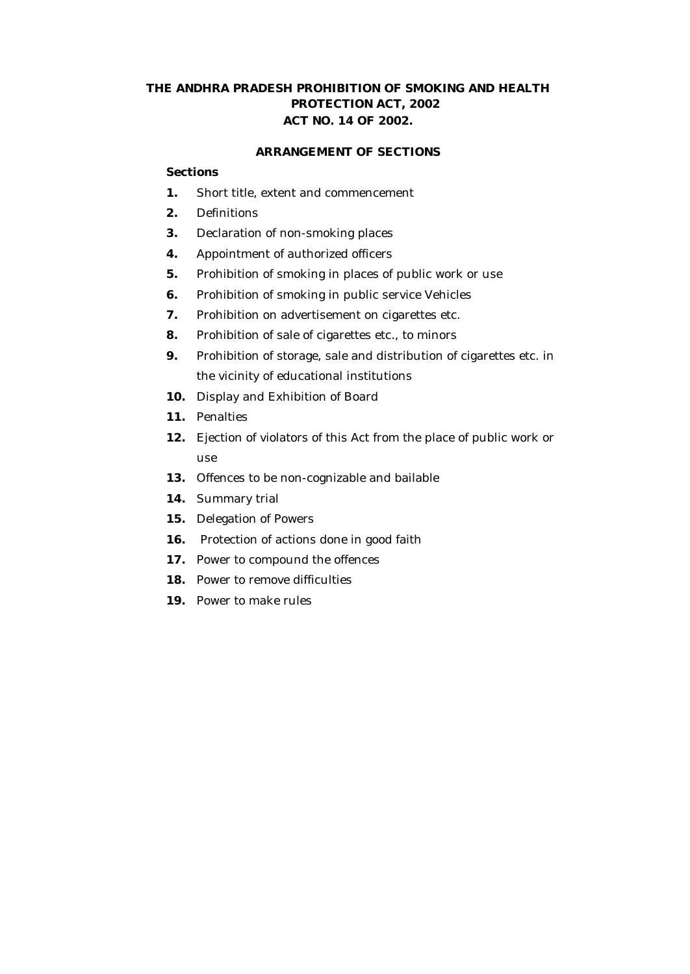# **THE ANDHRA PRADESH PROHIBITION OF SMOKING AND HEALTH PROTECTION ACT, 2002 ACT NO. 14 OF 2002.**

## **ARRANGEMENT OF SECTIONS**

#### **Sections**

- **1.** Short title, extent and commencement
- **2.** Definitions
- **3.** Declaration of non-smoking places
- **4.** Appointment of authorized officers
- **5.** Prohibition of smoking in places of public work or use
- **6.** Prohibition of smoking in public service Vehicles
- **7.** Prohibition on advertisement on cigarettes etc.
- **8.** Prohibition of sale of cigarettes etc., to minors
- **9.** Prohibition of storage, sale and distribution of cigarettes etc. in the vicinity of educational institutions
- **10.** Display and Exhibition of Board
- **11.** Penalties
- **12.** Ejection of violators of this Act from the place of public work or use
- **13.** Offences to be non-cognizable and bailable
- **14.** Summary trial
- **15.** Delegation of Powers
- **16.** Protection of actions done in good faith
- **17.** Power to compound the offences
- **18.** Power to remove difficulties
- **19.** Power to make rules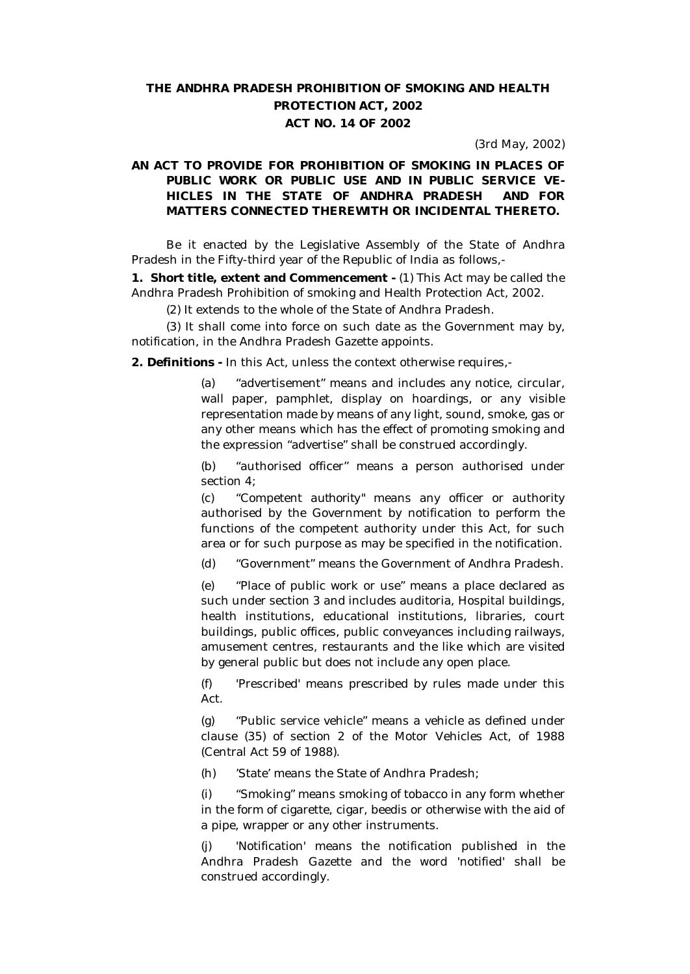# **THE ANDHRA PRADESH PROHIBITION OF SMOKING AND HEALTH PROTECTION ACT, 2002 ACT NO. 14 OF 2002**

(3rd May, 2002)

## **AN ACT TO PROVIDE FOR PROHIBITION OF SMOKING IN PLACES OF PUBLIC WORK OR PUBLIC USE AND IN PUBLIC SERVICE VE-HICLES IN THE STATE OF ANDHRA PRADESH AND FOR MATTERS CONNECTED THEREWITH OR INCIDENTAL THERETO.**

Be it enacted by the Legislative Assembly of the State of Andhra Pradesh in the Fifty-third year of the Republic of India as follows,-

**1. Short title, extent and Commencement -** (1) This Act may be called the Andhra Pradesh Prohibition of smoking and Health Protection Act, 2002.

(2) It extends to the whole of the State of Andhra Pradesh.

(3) It shall come into force on such date as the Government may by, notification, in the Andhra Pradesh Gazette appoints.

**2. Definitions -** In this Act, unless the context otherwise requires,-

(a) "advertisement" means and includes any notice, circular, wall paper, pamphlet, display on hoardings, or any visible representation made by means of any light, sound, smoke, gas or any other means which has the effect of promoting smoking and the expression "advertise" shall be construed accordingly.

(b) "authorised officer'' means a person authorised under section 4;

(c) "Competent *authority"* means any officer or authority authorised by the Government by notification to perform the functions of the competent authority under this Act, for such area or for such purpose as may be specified in the notification.

(d) "Government" means the Government of Andhra Pradesh.

(e) "Place of public work or use" means a place declared as such under section 3 and includes auditoria, Hospital buildings, health institutions, educational institutions, libraries, court buildings, public offices, public conveyances including railways, amusement centres, restaurants and the like which are visited by general public but does not include any open place.

(f) 'Prescribed' means prescribed by rules made under this Act.

(g) "Public service vehicle" means a vehicle as defined under clause (35) of section 2 of the Motor Vehicles Act, of 1988 (Central Act 59 of 1988).

(h) 'State' means the State of Andhra Pradesh;

(i) "Smoking" means smoking of tobacco in any form whether in the form of cigarette, cigar, beedis or otherwise with the aid of a pipe, wrapper or any other instruments.

(j) 'Notification' means the notification published in the Andhra Pradesh Gazette and the word 'notified' shall be construed accordingly.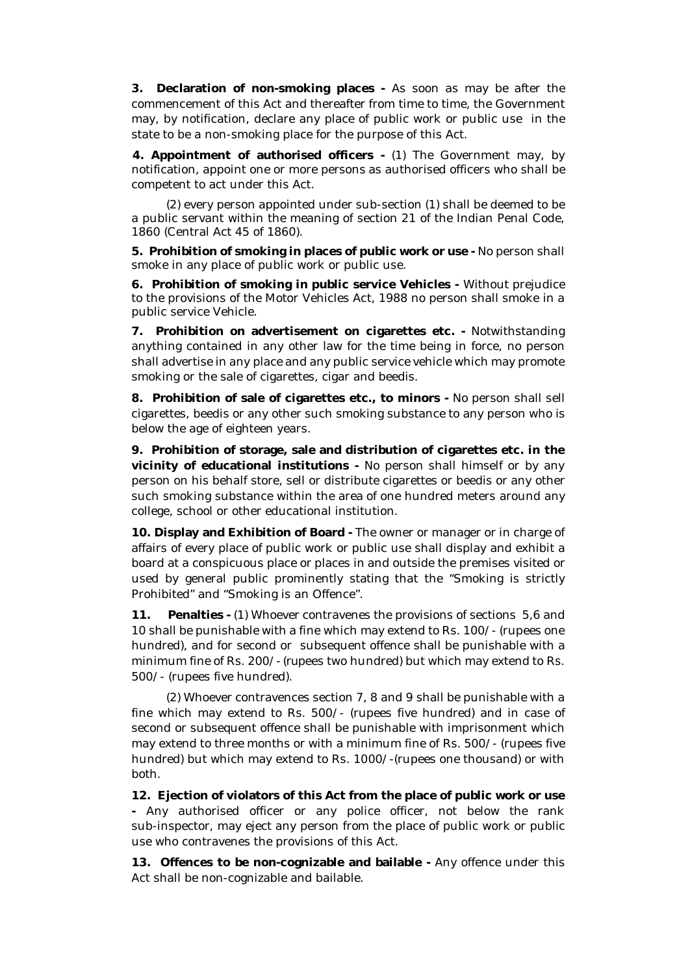**3. Declaration of non-smoking places -** As soon as may be after the commencement of this Act and thereafter from time to time, the Government may, by notification, declare any place of public work or public use in the state to be a non-smoking place for the purpose of this Act.

**4. Appointment of authorised officers -** (1) The Government may, by notification, appoint one or more persons as authorised officers who shall be competent to act under this Act.

(2) every person appointed under sub-section (1) shall be deemed to be a public servant within the meaning of section 21 of the Indian Penal Code, 1860 (Central Act 45 of 1860).

**5. Prohibition of smoking in places of public work or use -** No person shall smoke in any place of public work or public use.

**6. Prohibition of smoking in public service Vehicles -** Without prejudice to the provisions of the Motor Vehicles Act, 1988 no person shall smoke in a public service Vehicle.

**7. Prohibition on advertisement on cigarettes etc. -** Notwithstanding anything contained in any other law for the time being in force, no person shall advertise in any place and any public service vehicle which may promote smoking or the sale of cigarettes, cigar and beedis.

**8. Prohibition of sale of cigarettes etc., to minors -** No person shall sell cigarettes, beedis or any other such smoking substance to any person who is below the age of eighteen years.

**9. Prohibition of storage, sale and distribution of cigarettes etc. in the vicinity of educational institutions -** No person shall himself or by any person on his behalf store, sell or distribute cigarettes or beedis or any other such smoking substance within the area of one hundred meters around any college, school or other educational institution.

**10. Display and Exhibition of Board -** The owner or manager or in charge of affairs of every place of public work or public use shall display and exhibit a board at a conspicuous place or places in and outside the premises visited or used by general public prominently stating that the "Smoking is strictly Prohibited" and "Smoking is an Offence".

**11. Penalties -** (1) Whoever contravenes the provisions of sections 5,6 and 10 shall be punishable with a fine which may extend to Rs. 100/- (rupees one hundred), and for second or subsequent offence shall be punishable with a minimum fine of Rs. *200/- (rupees* two hundred) but which may extend to Rs. 500/- (rupees five hundred).

(2) Whoever contravences section 7, 8 and 9 shall be punishable with a fine which may extend to Rs. 500/- (rupees five hundred) and in case of second or subsequent offence shall be punishable with imprisonment which may extend to three months or with a minimum fine of Rs. 500/- (rupees five hundred) but which may extend to Rs. 1000/-(rupees one thousand) or with both.

**12. Ejection of violators of this Act from the place of public work or use -** Any authorised officer or any police officer, not below the rank sub-inspector, may eject any person from the place of public work or public use who contravenes the provisions of this Act.

**13. Offences to be non-cognizable and bailable -** Any offence under this Act shall be non-cognizable and bailable.